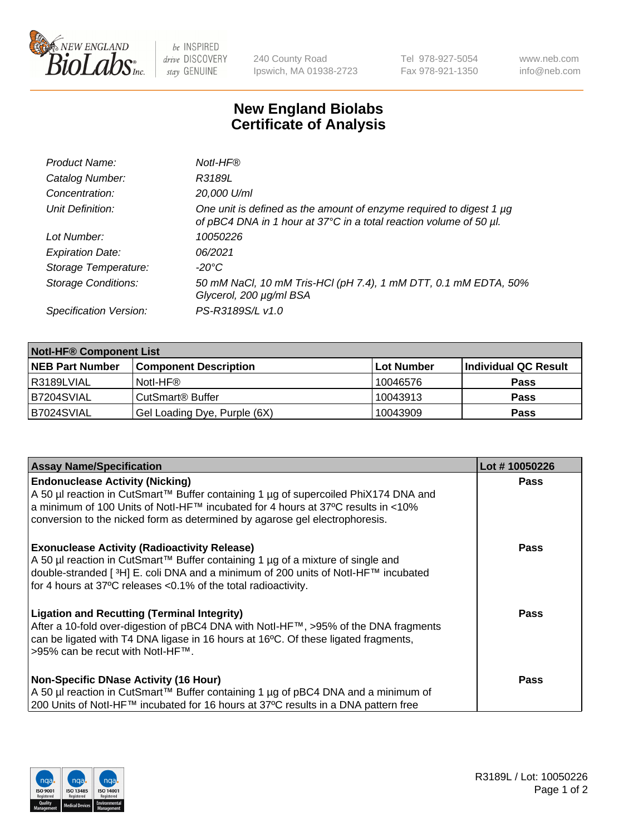

be INSPIRED drive DISCOVERY stay GENUINE

240 County Road Ipswich, MA 01938-2723 Tel 978-927-5054 Fax 978-921-1350 www.neb.com info@neb.com

## **New England Biolabs Certificate of Analysis**

| Product Name:              | Notl-HF®                                                                                                                                  |
|----------------------------|-------------------------------------------------------------------------------------------------------------------------------------------|
| Catalog Number:            | R3189L                                                                                                                                    |
| Concentration:             | 20,000 U/ml                                                                                                                               |
| Unit Definition:           | One unit is defined as the amount of enzyme required to digest 1 µg<br>of pBC4 DNA in 1 hour at 37°C in a total reaction volume of 50 µl. |
| Lot Number:                | 10050226                                                                                                                                  |
| <b>Expiration Date:</b>    | 06/2021                                                                                                                                   |
| Storage Temperature:       | $-20^{\circ}$ C                                                                                                                           |
| <b>Storage Conditions:</b> | 50 mM NaCl, 10 mM Tris-HCl (pH 7.4), 1 mM DTT, 0.1 mM EDTA, 50%<br>Glycerol, 200 µg/ml BSA                                                |
| Specification Version:     | PS-R3189S/L v1.0                                                                                                                          |

| <b>Notl-HF® Component List</b> |                              |            |                      |  |
|--------------------------------|------------------------------|------------|----------------------|--|
| <b>NEB Part Number</b>         | <b>Component Description</b> | Lot Number | Individual QC Result |  |
| l R3189LVIAL                   | Notl-HF®                     | 10046576   | <b>Pass</b>          |  |
| B7204SVIAL                     | CutSmart <sup>®</sup> Buffer | 10043913   | <b>Pass</b>          |  |
| B7024SVIAL                     | Gel Loading Dye, Purple (6X) | 10043909   | <b>Pass</b>          |  |

| <b>Assay Name/Specification</b>                                                                                                                                                                                                                                                                 | Lot #10050226 |
|-------------------------------------------------------------------------------------------------------------------------------------------------------------------------------------------------------------------------------------------------------------------------------------------------|---------------|
| <b>Endonuclease Activity (Nicking)</b><br>  A 50 µl reaction in CutSmart™ Buffer containing 1 µg of supercoiled PhiX174 DNA and                                                                                                                                                                 | <b>Pass</b>   |
| a minimum of 100 Units of Notl-HF™ incubated for 4 hours at 37°C results in <10%<br>conversion to the nicked form as determined by agarose gel electrophoresis.                                                                                                                                 |               |
| <b>Exonuclease Activity (Radioactivity Release)</b><br>  A 50 µl reaction in CutSmart™ Buffer containing 1 µg of a mixture of single and<br>double-stranded [3H] E. coli DNA and a minimum of 200 units of Notl-HF™ incubated<br>for 4 hours at 37°C releases <0.1% of the total radioactivity. | <b>Pass</b>   |
| <b>Ligation and Recutting (Terminal Integrity)</b><br>After a 10-fold over-digestion of pBC4 DNA with Notl-HF™, >95% of the DNA fragments<br>can be ligated with T4 DNA ligase in 16 hours at 16 $\degree$ C. Of these ligated fragments,<br>1>95% can be recut with NotI-HF™.                  | Pass          |
| <b>Non-Specific DNase Activity (16 Hour)</b><br>A 50 µl reaction in CutSmart™ Buffer containing 1 µg of pBC4 DNA and a minimum of<br>200 Units of Notl-HF™ incubated for 16 hours at 37°C results in a DNA pattern free                                                                         | <b>Pass</b>   |